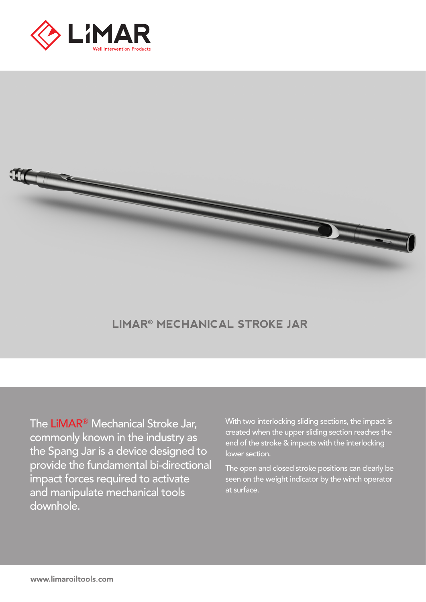



## **LIMAR**® **MECHANICAL STROKE JAR**

The LiMAR**®** Mechanical Stroke Jar, commonly known in the industry as the Spang Jar is a device designed to provide the fundamental bi-directional impact forces required to activate and manipulate mechanical tools downhole.

With two interlocking sliding sections, the impact is created when the upper sliding section reaches the end of the stroke & impacts with the interlocking lower section.

The open and closed stroke positions can clearly be seen on the weight indicator by the winch operator at surface.